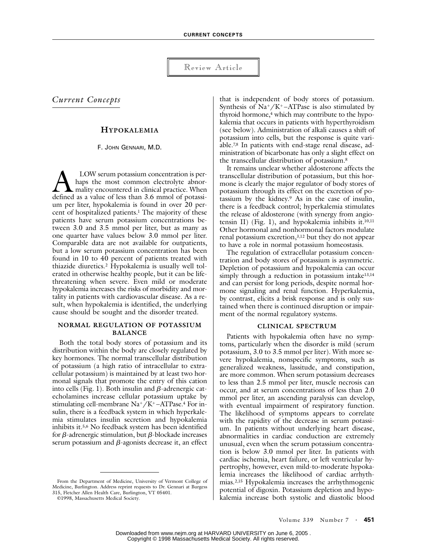Review Article

*Current Concepts*

## **HYPOKALEMIA**

F. JOHN GENNARI, M.D.

 LOW serum potassium concentration is perhaps the most common electrolyte abnormality encountered in clinical practice. When LOW serum potassium concentration is perhaps the most common electrolyte abnor-<br>mality encountered in clinical practice. When<br>defined as a value of less than 3.6 mmol of potassium per liter, hypokalemia is found in over 20 percent of hospitalized patients.<sup>1</sup> The majority of these patients have serum potassium concentrations between 3.0 and 3.5 mmol per liter, but as many as one quarter have values below 3.0 mmol per liter. Comparable data are not available for outpatients, but a low serum potassium concentration has been found in 10 to 40 percent of patients treated with thiazide diuretics.2 Hypokalemia is usually well tolerated in otherwise healthy people, but it can be lifethreatening when severe. Even mild or moderate hypokalemia increases the risks of morbidity and mortality in patients with cardiovascular disease. As a result, when hypokalemia is identified, the underlying cause should be sought and the disorder treated.

### **NORMAL REGULATION OF POTASSIUM BALANCE**

Both the total body stores of potassium and its distribution within the body are closely regulated by key hormones. The normal transcellular distribution of potassium (a high ratio of intracellular to extracellular potassium) is maintained by at least two hormonal signals that promote the entry of this cation into cells (Fig. 1). Both insulin and  $\beta$ -adrenergic catecholamines increase cellular potassium uptake by stimulating cell-membrane  $Na^+/K^+$ –ATPase.<sup>4</sup> For insulin, there is a feedback system in which hyperkalemia stimulates insulin secretion and hypokalemia inhibits it.5,6 No feedback system has been identified for  $\beta$ -adrenergic stimulation, but  $\beta$ -blockade increases serum potassium and  $\beta$ -agonists decrease it, an effect

that is independent of body stores of potassium. Synthesis of  $\text{Na}^+/\text{K}^+$ –ATPase is also stimulated by thyroid hormone,<sup>4</sup> which may contribute to the hypokalemia that occurs in patients with hyperthyroidism (see below). Administration of alkali causes a shift of potassium into cells, but the response is quite variable.7,8 In patients with end-stage renal disease, administration of bicarbonate has only a slight effect on the transcellular distribution of potassium.8

It remains unclear whether aldosterone affects the transcellular distribution of potassium, but this hormone is clearly the major regulator of body stores of potassium through its effect on the excretion of potassium by the kidney.9 As in the case of insulin, there is a feedback control; hyperkalemia stimulates the release of aldosterone (with synergy from angiotensin II) (Fig. 1), and hypokalemia inhibits it.10,11 Other hormonal and nonhormonal factors modulate renal potassium excretion,3,12 but they do not appear to have a role in normal potassium homeostasis.

The regulation of extracellular potassium concentration and body stores of potassium is asymmetric. Depletion of potassium and hypokalemia can occur simply through a reduction in potassium intake<sup>13,14</sup> and can persist for long periods, despite normal hormone signaling and renal function. Hyperkalemia, by contrast, elicits a brisk response and is only sustained when there is continued disruption or impairment of the normal regulatory systems.

### **CLINICAL SPECTRUM**

Patients with hypokalemia often have no symptoms, particularly when the disorder is mild (serum potassium, 3.0 to 3.5 mmol per liter). With more severe hypokalemia, nonspecific symptoms, such as generalized weakness, lassitude, and constipation, are more common. When serum potassium decreases to less than 2.5 mmol per liter, muscle necrosis can occur, and at serum concentrations of less than 2.0 mmol per liter, an ascending paralysis can develop, with eventual impairment of respiratory function. The likelihood of symptoms appears to correlate with the rapidity of the decrease in serum potassium. In patients without underlying heart disease, abnormalities in cardiac conduction are extremely unusual, even when the serum potassium concentration is below 3.0 mmol per liter. In patients with cardiac ischemia, heart failure, or left ventricular hypertrophy, however, even mild-to-moderate hypokalemia increases the likelihood of cardiac arrhythmias.2,15 Hypokalemia increases the arrhythmogenic potential of digoxin. Potassium depletion and hypokalemia increase both systolic and diastolic blood

From the Department of Medicine, University of Vermont College of Medicine, Burlington. Address reprint requests to Dr. Gennari at Burgess 315, Fletcher Allen Health Care, Burlington, VT 05401.

<sup>©1998,</sup> Massachusetts Medical Society.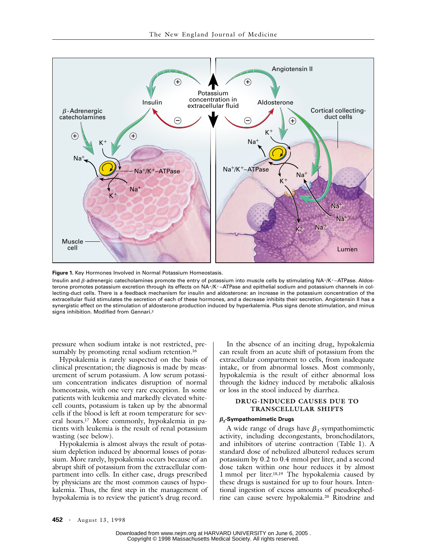

**Figure 1.** Key Hormones Involved in Normal Potassium Homeostasis.

Insulin and *b*-adrenergic catecholamines promote the entry of potassium into muscle cells by stimulating NA+/K+–ATPase. Aldosterone promotes potassium excretion through its effects on NA+/K+–ATPase and epithelial sodium and potassium channels in collecting-duct cells. There is a feedback mechanism for insulin and aldosterone: an increase in the potassium concentration of the extracellular fluid stimulates the secretion of each of these hormones, and a decrease inhibits their secretion. Angiotensin II has a synergistic effect on the stimulation of aldosterone production induced by hyperkalemia. Plus signs denote stimulation, and minus signs inhibition. Modified from Gennari.3

pressure when sodium intake is not restricted, presumably by promoting renal sodium retention.<sup>16</sup>

Hypokalemia is rarely suspected on the basis of clinical presentation; the diagnosis is made by measurement of serum potassium. A low serum potassium concentration indicates disruption of normal homeostasis, with one very rare exception. In some patients with leukemia and markedly elevated whitecell counts, potassium is taken up by the abnormal cells if the blood is left at room temperature for several hours.17 More commonly, hypokalemia in patients with leukemia is the result of renal potassium wasting (see below).

Hypokalemia is almost always the result of potassium depletion induced by abnormal losses of potassium. More rarely, hypokalemia occurs because of an abrupt shift of potassium from the extracellular compartment into cells. In either case, drugs prescribed by physicians are the most common causes of hypokalemia. Thus, the first step in the management of hypokalemia is to review the patient's drug record.

In the absence of an inciting drug, hypokalemia can result from an acute shift of potassium from the extracellular compartment to cells, from inadequate intake, or from abnormal losses. Most commonly, hypokalemia is the result of either abnormal loss through the kidney induced by metabolic alkalosis or loss in the stool induced by diarrhea.

# **DRUG-INDUCED CAUSES DUE TO TRANSCELLULAR SHIFTS**

### *b***2-Sympathomimetic Drugs**

A wide range of drugs have  $\beta_2$ -sympathomimetic activity, including decongestants, bronchodilators, and inhibitors of uterine contraction (Table 1). A standard dose of nebulized albuterol reduces serum potassium by 0.2 to 0.4 mmol per liter, and a second dose taken within one hour reduces it by almost 1 mmol per liter.18,19 The hypokalemia caused by these drugs is sustained for up to four hours. Intentional ingestion of excess amounts of pseudoephedrine can cause severe hypokalemia.20 Ritodrine and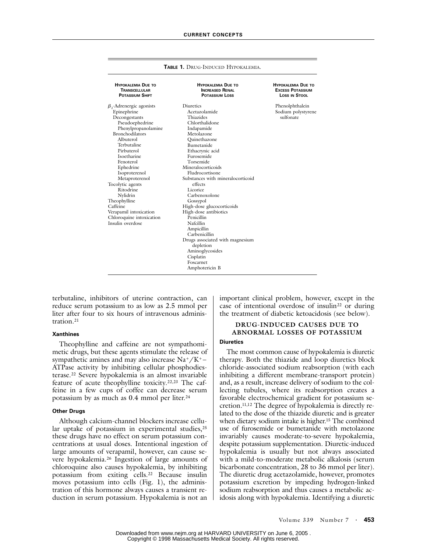| <b>HYPOKALEMIA DUE TO</b><br>TRANSCELLULAR<br><b>POTASSIUM SHIFT</b> | <b>HYPOKALEMIA DUE TO</b><br><b>INCREASED RENAL</b><br><b>POTASSIUM LOSS</b> | <b>HYPOKALEMIA DUE TO</b><br><b>EXCESS POTASSIUM</b><br>LOSS IN STOOL |
|----------------------------------------------------------------------|------------------------------------------------------------------------------|-----------------------------------------------------------------------|
| $\beta$ <sub>2</sub> -Adrenergic agonists                            | <b>Diuretics</b>                                                             | Phenolphthalein                                                       |
| Epinephrine                                                          | Acetazolamide                                                                | Sodium polystyrene                                                    |
| Decongestants                                                        | Thiazides                                                                    | sulfonate                                                             |
| Pseudoephedrine                                                      | Chlorthalidone                                                               |                                                                       |
| Phenylpropanolamine                                                  | Indapamide                                                                   |                                                                       |
| <b>Bronchodilators</b>                                               | Metolazone                                                                   |                                                                       |
| Albuterol                                                            | Ouinethazone                                                                 |                                                                       |
| Terbutaline                                                          | <b>Bumetanide</b>                                                            |                                                                       |
| Pirbuterol                                                           | Ethacrynic acid                                                              |                                                                       |
| Isoetharine                                                          | Furosemide                                                                   |                                                                       |
| Fenoterol                                                            | Torsemide                                                                    |                                                                       |
| Ephedrine                                                            | Mineralocorticoids                                                           |                                                                       |
| Isoproterenol                                                        | <b>Fludrocortisone</b>                                                       |                                                                       |
| Metaproterenol                                                       | Substances with mineralocorticoid                                            |                                                                       |
| Tocolytic agents                                                     | effects                                                                      |                                                                       |
| Ritodrine                                                            | Licorice                                                                     |                                                                       |
| Nvlidrin                                                             | Carbenoxolone                                                                |                                                                       |
| Theophylline                                                         | Gossypol                                                                     |                                                                       |
| Caffeine                                                             | High-dose glucocorticoids                                                    |                                                                       |
| Verapamil intoxication                                               | High-dose antibiotics                                                        |                                                                       |
| Chloroquine intoxication                                             | Penicillin                                                                   |                                                                       |
| Insulin overdose                                                     | Nafcillin                                                                    |                                                                       |
|                                                                      | Ampicillin                                                                   |                                                                       |
|                                                                      | Carbenicillin                                                                |                                                                       |
|                                                                      | Drugs associated with magnesium                                              |                                                                       |
|                                                                      | depletion                                                                    |                                                                       |
|                                                                      | Aminoglycosides                                                              |                                                                       |
|                                                                      | Cisplatin                                                                    |                                                                       |
|                                                                      | Foscarnet                                                                    |                                                                       |
|                                                                      | Amphotericin B                                                               |                                                                       |

**TABLE 1.** DRUG-INDUCED HYPOKALEMIA.

terbutaline, inhibitors of uterine contraction, can reduce serum potassium to as low as 2.5 mmol per liter after four to six hours of intravenous administration.21

#### **Xanthines**

Theophylline and caffeine are not sympathomimetic drugs, but these agents stimulate the release of sympathetic amines and may also increase  $Na^+/K^+$ ATPase activity by inhibiting cellular phosphodiesterase.22 Severe hypokalemia is an almost invariable feature of acute theophylline toxicity.22,23 The caffeine in a few cups of coffee can decrease serum potassium by as much as 0.4 mmol per liter.24

### **Other Drugs**

Although calcium-channel blockers increase cellular uptake of potassium in experimental studies,<sup>25</sup> these drugs have no effect on serum potassium concentrations at usual doses. Intentional ingestion of large amounts of verapamil, however, can cause severe hypokalemia.26 Ingestion of large amounts of chloroquine also causes hypokalemia, by inhibiting potassium from exiting cells.22 Because insulin moves potassium into cells (Fig. 1), the administration of this hormone always causes a transient reduction in serum potassium. Hypokalemia is not an

important clinical problem, however, except in the case of intentional overdose of insulin<sup>22</sup> or during the treatment of diabetic ketoacidosis (see below).

# **DRUG-INDUCED CAUSES DUE TO ABNORMAL LOSSES OF POTASSIUM**

# **Diuretics**

The most common cause of hypokalemia is diuretic therapy. Both the thiazide and loop diuretics block chloride-associated sodium reabsorption (with each inhibiting a different membrane-transport protein) and, as a result, increase delivery of sodium to the collecting tubules, where its reabsorption creates a favorable electrochemical gradient for potassium secretion.11,12 The degree of hypokalemia is directly related to the dose of the thiazide diuretic and is greater when dietary sodium intake is higher.15 The combined use of furosemide or bumetanide with metolazone invariably causes moderate-to-severe hypokalemia, despite potassium supplementation. Diuretic-induced hypokalemia is usually but not always associated with a mild-to-moderate metabolic alkalosis (serum bicarbonate concentration, 28 to 36 mmol per liter). The diuretic drug acetazolamide, however, promotes potassium excretion by impeding hydrogen-linked sodium reabsorption and thus causes a metabolic acidosis along with hypokalemia. Identifying a diuretic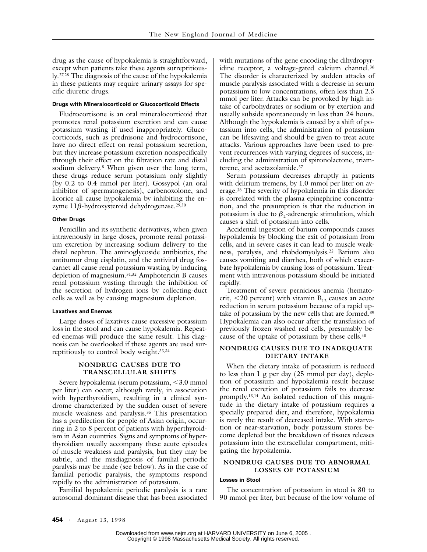drug as the cause of hypokalemia is straightforward, except when patients take these agents surreptitiously.27,28 The diagnosis of the cause of the hypokalemia in these patients may require urinary assays for specific diuretic drugs.

#### **Drugs with Mineralocorticoid or Glucocorticoid Effects**

Fludrocortisone is an oral mineralocorticoid that promotes renal potassium excretion and can cause potassium wasting if used inappropriately. Glucocorticoids, such as prednisone and hydrocortisone, have no direct effect on renal potassium secretion, but they increase potassium excretion nonspecifically through their effect on the filtration rate and distal sodium delivery.<sup>8</sup> When given over the long term, these drugs reduce serum potassium only slightly (by 0.2 to 0.4 mmol per liter). Gossypol (an oral inhibitor of spermatogenesis), carbenoxolone, and licorice all cause hypokalemia by inhibiting the enzyme 11β-hydroxysteroid dehydrogenase.<sup>29,30</sup>

### **Other Drugs**

Penicillin and its synthetic derivatives, when given intravenously in large doses, promote renal potassium excretion by increasing sodium delivery to the distal nephron. The aminoglycoside antibiotics, the antitumor drug cisplatin, and the antiviral drug foscarnet all cause renal potassium wasting by inducing depletion of magnesium.31,32 Amphotericin B causes renal potassium wasting through the inhibition of the secretion of hydrogen ions by collecting-duct cells as well as by causing magnesium depletion.

#### **Laxatives and Enemas**

Large doses of laxatives cause excessive potassium loss in the stool and can cause hypokalemia. Repeated enemas will produce the same result. This diagnosis can be overlooked if these agents are used surreptitiously to control body weight.33,34

### **NONDRUG CAUSES DUE TO TRANSCELLULAR SHIFTS**

Severe hypokalemia (serum potassium, <3.0 mmol per liter) can occur, although rarely, in association with hyperthyroidism, resulting in a clinical syndrome characterized by the sudden onset of severe muscle weakness and paralysis.<sup>35</sup> This presentation has a predilection for people of Asian origin, occurring in 2 to 8 percent of patients with hyperthyroidism in Asian countries. Signs and symptoms of hyperthyroidism usually accompany these acute episodes of muscle weakness and paralysis, but they may be subtle, and the misdiagnosis of familial periodic paralysis may be made (see below). As in the case of familial periodic paralysis, the symptoms respond rapidly to the administration of potassium.

Familial hypokalemic periodic paralysis is a rare autosomal dominant disease that has been associated with mutations of the gene encoding the dihydropyridine receptor, a voltage-gated calcium channel.36 The disorder is characterized by sudden attacks of muscle paralysis associated with a decrease in serum potassium to low concentrations, often less than 2.5 mmol per liter. Attacks can be provoked by high intake of carbohydrates or sodium or by exertion and usually subside spontaneously in less than 24 hours. Although the hypokalemia is caused by a shift of potassium into cells, the administration of potassium can be lifesaving and should be given to treat acute attacks. Various approaches have been used to prevent recurrences with varying degrees of success, including the administration of spironolactone, triamterene, and acetazolamide.37

Serum potassium decreases abruptly in patients with delirium tremens, by 1.0 mmol per liter on average.38 The severity of hypokalemia in this disorder is correlated with the plasma epinephrine concentration, and the presumption is that the reduction in potassium is due to  $\beta_2$ -adrenergic stimulation, which causes a shift of potassium into cells.

Accidental ingestion of barium compounds causes hypokalemia by blocking the exit of potassium from cells, and in severe cases it can lead to muscle weakness, paralysis, and rhabdomyolysis.22 Barium also causes vomiting and diarrhea, both of which exacerbate hypokalemia by causing loss of potassium. Treatment with intravenous potassium should be initiated rapidly.

Treatment of severe pernicious anemia (hematocrit,  $\langle 20 \rangle$  percent) with vitamin  $B_{12}$  causes an acute reduction in serum potassium because of a rapid uptake of potassium by the new cells that are formed.39 Hypokalemia can also occur after the transfusion of previously frozen washed red cells, presumably because of the uptake of potassium by these cells.40

### **NONDRUG CAUSES DUE TO INADEQUATE DIETARY INTAKE**

When the dietary intake of potassium is reduced to less than 1 g per day (25 mmol per day), depletion of potassium and hypokalemia result because the renal excretion of potassium fails to decrease promptly.13,14 An isolated reduction of this magnitude in the dietary intake of potassium requires a specially prepared diet, and therefore, hypokalemia is rarely the result of decreased intake. With starvation or near-starvation, body potassium stores become depleted but the breakdown of tissues releases potassium into the extracellular compartment, mitigating the hypokalemia.

### **NONDRUG CAUSES DUE TO ABNORMAL LOSSES OF POTASSIUM**

#### **Losses in Stool**

The concentration of potassium in stool is 80 to 90 mmol per liter, but because of the low volume of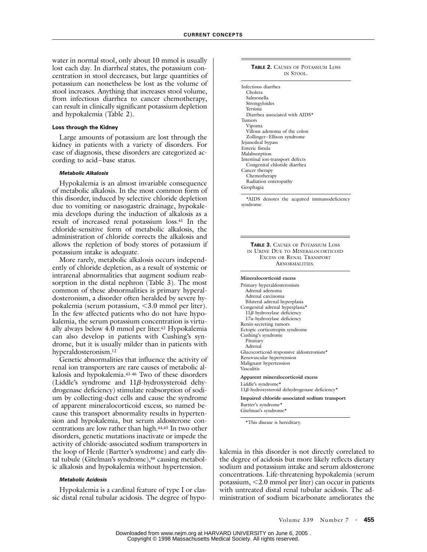water in normal stool, only about 10 mmol is usually lost each day. In diarrheal states, the potassium concentration in stool decreases, but large quantities of potassium can nonetheless be lost as the volume of stool increases. Anything that increases stool volume, from infectious diarrhea to cancer chemotherapy, can result in clinically significant potassium depletion and hypokalemia (Table 2).

### **Loss through the Kidney**

Large amounts of potassium are lost through the kidney in patients with a variety of disorders. For ease of diagnosis, these disorders are categorized according to acid–base status.

### *Metabolic Alkalosis*

Hypokalemia is an almost invariable consequence of metabolic alkalosis. In the most common form of this disorder, induced by selective chloride depletion due to vomiting or nasogastric drainage, hypokalemia develops during the induction of alkalosis as a result of increased renal potassium loss.41 In the chloride-sensitive form of metabolic alkalosis, the administration of chloride corrects the alkalosis and allows the repletion of body stores of potassium if potassium intake is adequate.

More rarely, metabolic alkalosis occurs independently of chloride depletion, as a result of systemic or intrarenal abnormalities that augment sodium reabsorption in the distal nephron (Table 3). The most common of these abnormalities is primary hyperaldosteronism, a disorder often heralded by severe hypokalemia (serum potassium, <3.0 mmol per liter). In the few affected patients who do not have hypokalemia, the serum potassium concentration is virtually always below 4.0 mmol per liter.<sup>42</sup> Hypokalemia can also develop in patients with Cushing's syndrome, but it is usually milder than in patients with hyperaldosteronism.12

Genetic abnormalities that influence the activity of renal ion transporters are rare causes of metabolic alkalosis and hypokalemia.<sup>43-46</sup> Two of these disorders (Liddle's syndrome and 11*b*-hydroxysteroid dehydrogenase deficiency) stimulate reabsorption of sodium by collecting-duct cells and cause the syndrome of apparent mineralocorticoid excess, so named because this transport abnormality results in hypertension and hypokalemia, but serum aldosterone concentrations are low rather than high.44,45 In two other disorders, genetic mutations inactivate or impede the activity of chloride-associated sodium transporters in the loop of Henle (Bartter's syndrome) and early distal tubule (Gitelman's syndrome),<sup>46</sup> causing metabolic alkalosis and hypokalemia without hypertension.

#### *Metabolic Acidosis*

Hypokalemia is a cardinal feature of type I or classic distal renal tubular acidosis. The degree of hypo-

#### **TABLE 2.** CAUSES OF POTASSIUM LOSS IN STOOL.

Infectious diarrhea Cholera Salmonella Strongyloides Yersinia Diarrhea associated with AIDS\* Tumors Vipoma Villous adenoma of the colon Zollinger–Ellison syndrome Jejunoileal bypass Enteric fistula Malabsorption Intestinal ion-transport defects Congenital chloride diarrhea Cancer therapy Chemotherapy Radiation enteropathy Geophagia

\*AIDS denotes the acquired immunodeficiency syndrome.

**TABLE 3.** CAUSES OF POTASSIUM LOSS IN URINE DUE TO MINERALOCORTICOID EXCESS OR RENAL TRANSPORT **ABNORMALITIES** 

# **Mineralocorticoid excess**

Primary hyperaldosteronism Adrenal adenoma Adrenal carcinoma Bilateral adrenal hyperplasia Congenital adrenal hyperplasia\* 11*b*-hydroxylase deficiency 17*a*-hydroxylase deficiency Renin-secreting tumors Ectopic corticotropin syndrome Cushing's syndrome Pituitary Adrenal Glucocorticoid-responsive aldosteronism\* Renovascular hypertension Malignant hypertension Vasculitis **Apparent mineralocorticoid excess** Liddle's syndrome\* 11*b*-hydroxysteroid dehydrogenase deficiency\* **Impaired chloride-associated sodium transport**

Bartter's syndrome Gitelman's syndrome\*

\*This disease is hereditary.

kalemia in this disorder is not directly correlated to the degree of acidosis but more likely reflects dietary sodium and potassium intake and serum aldosterone concentrations. Life-threatening hypokalemia (serum potassium, <2.0 mmol per liter) can occur in patients with untreated distal renal tubular acidosis. The administration of sodium bicarbonate ameliorates the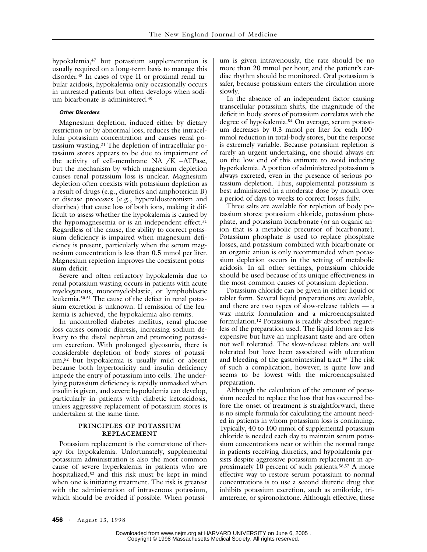hypokalemia,47 but potassium supplementation is usually required on a long-term basis to manage this disorder.48 In cases of type II or proximal renal tubular acidosis, hypokalemia only occasionally occurs in untreated patients but often develops when sodium bicarbonate is administered.49

### *Other Disorders*

Magnesium depletion, induced either by dietary restriction or by abnormal loss, reduces the intracellular potassium concentration and causes renal potassium wasting.31 The depletion of intracellular potassium stores appears to be due to impairment of the activity of cell-membrane  $NA^+/K^+$ –ATPase, but the mechanism by which magnesium depletion causes renal potassium loss is unclear. Magnesium depletion often coexists with potassium depletion as a result of drugs (e.g., diuretics and amphotericin B) or disease processes (e.g., hyperaldosteronism and diarrhea) that cause loss of both ions, making it difficult to assess whether the hypokalemia is caused by the hypomagnesemia or is an independent effect.31 Regardless of the cause, the ability to correct potassium deficiency is impaired when magnesium deficiency is present, particularly when the serum magnesium concentration is less than 0.5 mmol per liter. Magnesium repletion improves the coexistent potassium deficit.

Severe and often refractory hypokalemia due to renal potassium wasting occurs in patients with acute myelogenous, monomyeloblastic, or lymphoblastic leukemia.50,51 The cause of the defect in renal potassium excretion is unknown. If remission of the leukemia is achieved, the hypokalemia also remits.

In uncontrolled diabetes mellitus, renal glucose loss causes osmotic diuresis, increasing sodium delivery to the distal nephron and promoting potassium excretion. With prolonged glycosuria, there is considerable depletion of body stores of potassium,52 but hypokalemia is usually mild or absent because both hypertonicity and insulin deficiency impede the entry of potassium into cells. The underlying potassium deficiency is rapidly unmasked when insulin is given, and severe hypokalemia can develop, particularly in patients with diabetic ketoacidosis, unless aggressive replacement of potassium stores is undertaken at the same time.

# **PRINCIPLES OF POTASSIUM REPLACEMENT**

Potassium replacement is the cornerstone of therapy for hypokalemia. Unfortunately, supplemental potassium administration is also the most common cause of severe hyperkalemia in patients who are hospitalized,53 and this risk must be kept in mind when one is initiating treatment. The risk is greatest with the administration of intravenous potassium, which should be avoided if possible. When potassium is given intravenously, the rate should be no more than 20 mmol per hour, and the patient's cardiac rhythm should be monitored. Oral potassium is safer, because potassium enters the circulation more slowly.

In the absence of an independent factor causing transcellular potassium shifts, the magnitude of the deficit in body stores of potassium correlates with the degree of hypokalemia.54 On average, serum potassium decreases by 0.3 mmol per liter for each 100 mmol reduction in total-body stores, but the response is extremely variable. Because potassium repletion is rarely an urgent undertaking, one should always err on the low end of this estimate to avoid inducing hyperkalemia. A portion of administered potassium is always excreted, even in the presence of serious potassium depletion. Thus, supplemental potassium is best administered in a moderate dose by mouth over a period of days to weeks to correct losses fully.

Three salts are available for repletion of body potassium stores: potassium chloride, potassium phosphate, and potassium bicarbonate (or an organic anion that is a metabolic precursor of bicarbonate). Potassium phosphate is used to replace phosphate losses, and potassium combined with bicarbonate or an organic anion is only recommended when potassium depletion occurs in the setting of metabolic acidosis. In all other settings, potassium chloride should be used because of its unique effectiveness in the most common causes of potassium depletion.

Potassium chloride can be given in either liquid or tablet form. Several liquid preparations are available, and there are two types of slow-release tablets — a wax matrix formulation and a microencapsulated formulation.12 Potassium is readily absorbed regardless of the preparation used. The liquid forms are less expensive but have an unpleasant taste and are often not well tolerated. The slow-release tablets are well tolerated but have been associated with ulceration and bleeding of the gastrointestinal tract.55 The risk of such a complication, however, is quite low and seems to be lowest with the microencapsulated preparation.

Although the calculation of the amount of potassium needed to replace the loss that has occurred before the onset of treatment is straightforward, there is no simple formula for calculating the amount needed in patients in whom potassium loss is continuing. Typically, 40 to 100 mmol of supplemental potassium chloride is needed each day to maintain serum potassium concentrations near or within the normal range in patients receiving diuretics, and hypokalemia persists despite aggressive potassium replacement in approximately 10 percent of such patients.56,57 A more effective way to restore serum potassium to normal concentrations is to use a second diuretic drug that inhibits potassium excretion, such as amiloride, triamterene, or spironolactone. Although effective, these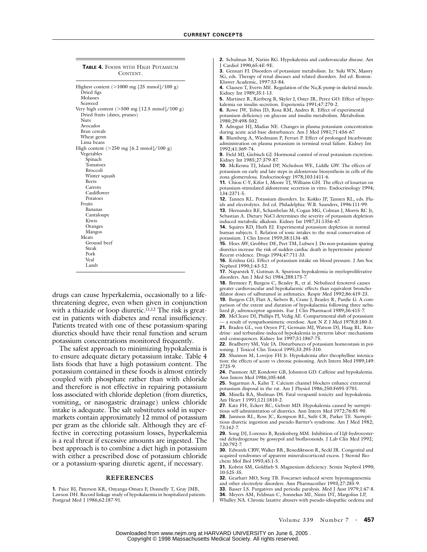| CONTENT.                                                              |  |  |
|-----------------------------------------------------------------------|--|--|
| Highest content $(>1000 \text{ mg } [25 \text{ mmol}]/100 \text{ g})$ |  |  |
| Dried figs                                                            |  |  |
| Molasses                                                              |  |  |
| Seaweed                                                               |  |  |
| Very high content $($ >500 mg [12.5 mmol]/100 g)                      |  |  |
| Dried fruits (dates, prunes)                                          |  |  |
| Nuts                                                                  |  |  |
| Avocados                                                              |  |  |
| Bran cereals                                                          |  |  |
| Wheat germ                                                            |  |  |
| Lima beans                                                            |  |  |
| High content $(>250 \text{ mg } [6.2 \text{ mmol}]/100 \text{ g})$    |  |  |
| Vegetables                                                            |  |  |
| Spinach                                                               |  |  |
| Tomatoes                                                              |  |  |
| <b>Broccoli</b>                                                       |  |  |
| Winter squash                                                         |  |  |
| <b>Beets</b>                                                          |  |  |
| Carrots                                                               |  |  |
| Cauliflower                                                           |  |  |
| Potatoes                                                              |  |  |
| Fruits                                                                |  |  |
| Bananas                                                               |  |  |
| Cantaloupe                                                            |  |  |
| Kiwis                                                                 |  |  |
| Oranges                                                               |  |  |
| Mangos                                                                |  |  |
| Meats                                                                 |  |  |
| Ground beef                                                           |  |  |
| Steak                                                                 |  |  |
| Pork                                                                  |  |  |
| Veal                                                                  |  |  |
| Lamb                                                                  |  |  |

**TABLE 4. FOODS WITH HIGH POTASSIUM** 

drugs can cause hyperkalemia, occasionally to a lifethreatening degree, even when given in conjunction with a thiazide or loop diuretic.<sup>11,12</sup> The risk is greatest in patients with diabetes and renal insufficiency. Patients treated with one of these potassium-sparing diuretics should have their renal function and serum potassium concentrations monitored frequently.

The safest approach to minimizing hypokalemia is to ensure adequate dietary potassium intake. Table 4 lists foods that have a high potassium content. The potassium contained in these foods is almost entirely coupled with phosphate rather than with chloride and therefore is not effective in repairing potassium loss associated with chloride depletion (from diuretics, vomiting, or nasogastric drainage) unless chloride intake is adequate. The salt substitutes sold in supermarkets contain approximately 12 mmol of potassium per gram as the chloride salt. Although they are effective in correcting potassium losses, hyperkalemia is a real threat if excessive amounts are ingested. The best approach is to combine a diet high in potassium with either a prescribed dose of potassium chloride or a potassium-sparing diuretic agent, if necessary.

### **REFERENCES**

**1.** Paice BJ, Paterson KR, Onyanga-Omara F, Donnelly T, Gray JMB, Lawson DH. Record linkage study of hypokalaemia in hospitalized patients. Postgrad Med J 1986;62:187-91.

**2.** Schulman M, Narins RG. Hypokalemia and cardiovascular disease. Am J Cardiol 1990;65:4E-9E.

**3.** Gennari FJ. Disorders of potassium metabolism. In: Suki WN, Massry SG, eds. Therapy of renal diseases and related disorders. 3rd ed. Boston: Kluwer Academic, 1997:53-84.

**4.** Clausen T, Everts ME. Regulation of the Na,K-pump in skeletal muscle. Kidney Int 1989;35:1-13.

**5.** Martinez R, Rietberg B, Skyler J, Oster JR, Perez GO. Effect of hyperkalemia on insulin secretion. Experientia 1991;47:270-2.

**6.** Rowe JW, Tobin JD, Rosa RM, Andres R. Effect of experimental potassium deficiency on glucose and insulin metabolism. Metabolism 1980;29:498-502.

**7.** Adrogué HJ, Madias NE. Changes in plasma potassium concentration during acute acid-base disturbances. Am J Med 1981;71:456-67.

**8.** Blumberg A, Wiedmann P, Ferrari P. Effect of prolonged bicarbonate administration on plasma potassium in terminal renal failure. Kidney Int 1992;41:369-74.

**9.** Field MJ, Giebisch GJ. Hormonal control of renal potassium excretion. Kidney Int 1985;27:379-87.

**10.** McKenna TJ, Island DP, Nicholson WE, Liddle GW. The effects of potassium on early and late steps in aldosterone biosynthesis in cells of the zona glomerulosa. Endocrinology 1978;103:1411-6.

**11.** Chiou C-Y, Kifor I, Moore TJ, Williams GH. The effect of losartan on potassium-stimulated aldosterone secretion in vitro. Endocrinology 1994; 134:2371-5.

**12.** Tannen RL. Potassium disorders. In: Kokko JP, Tannen RL, eds. Fluids and electrolytes. 3rd ed. Philadelphia: W.B. Saunders, 1996:111-99.

**13.** Hernandez RE, Schambelan M, Cogan MG, Colman J, Morris RC Jr, Sebastian A. Dietary NaCl determines the severity of potassium depletioninduced metabolic alkalosis. Kidney Int 1987;31:1356-67.

**14.** Squires RD, Huth EJ. Experimental potassium depletion in normal human subjects. I. Relation of ionic intakes to the renal conservation of potassium. J Clin Invest 1959;38:1134-48.

**15.** Hoes AW, Grobbee DE, Peet TM, Lubsen J. Do non-potassium-sparing diuretics increase the risk of sudden cardiac death in hypertensive patients? Recent evidence. Drugs 1994;47:711-33.

**16.** Krishna GG. Effect of potassium intake on blood pressure. J Am Soc Nephrol 1990;1:43-52.

**17.** Naparstek Y, Gutman A. Spurious hypokalemia in myeloproliferative disorders. Am J Med Sci 1984;288:175-7.

**18.** Bremner P, Burgess C, Beasley R, et al. Nebulized fenoterol causes greater cardiovascular and hypokalaemic effects than equivalent bronchodilator doses of salbutamol in asthmatics. Respir Med 1992;86:419-23.

**19.** Burgess CD, Flatt A, Siebers R, Crane J, Beasley R, Purdie G. A comparison of the extent and duration of hypokalaemia following three nebulized  $\beta_2$ -adrenoceptor agonists. Eur J Clin Pharmacol 1989;36:415-7.

**20.** McCleave DJ, Phillips PJ, Vedig AE. Compartmental shift of potassium — a result of sympathomimetic overdose. Aust N Z J Med 1978;8:180-3. **21.** Braden GL, von Oeyen PT, Germain MJ, Watson DJ, Haag BL. Rito-

drine- and terbutaline-induced hypokalemia in preterm labor: mechanisms and consequences. Kidney Int 1997;51:1867-75.

**22.** Bradberry SM, Vale JA. Disturbances of potassium homeostasis in poisoning. J Toxicol Clin Toxicol 1995;33:295-310.

**23.** Shannon M, Lovejoy FH Jr. Hypokalemia after theophylline intoxication: the effects of acute vs chronic poisoning. Arch Intern Med 1989;149: 2725-9.

**24.** Passmore AP, Kondowe GB, Johnston GD. Caffeine and hypokalemia. Ann Intern Med 1986;105:468.

**25.** Sugarman A, Kahn T. Calcium channel blockers enhance extrarenal potassium disposal in the rat. Am J Physiol 1986;250:F695-F701.

**26.** Minella RA, Shulman DS. Fatal verapamil toxicity and hypokalemia. Am Heart J 1991;121:1810-2.

**27.** Katz FH, Eckert RC, Gebott MD. Hypokalemia caused by surrepti-

tious self-administration of diuretics. Ann Intern Med 1972;76:85-90. **28.** Jamison RL, Ross JC, Kempson RL, Sufit CR, Parker TE. Surreptitious diuretic ingestion and pseudo-Bartter's syndrome. Am J Med 1982; 73:142-7.

**29.** Song DJ, Lorenzo B, Reidenberg MM. Inhibition of 11*b*-hydroxysteroid dehydrogenase by gossypol and bioflavonoids. J Lab Clin Med 1992; 120:792-7.

**30.** Edwards CRW, Walker BR, Benediktsson R, Seckl JR. Congenital and acquired syndromes of apparent mineralocorticoid excess. J Steroid Biochem Mol Biol 1993;45:1-5.

**31.** Kobrin SM, Goldfarb S. Magnesium deficiency. Semin Nephrol 1990; 10:525-35.

**32.** Gearhart MO, Sorg TB. Foscarnet-induced severe hypomagnesemia

and other electrolyte disorders. Ann Pharmacother 1993;27:285-9.

**33.** Basser LS. Purgatives and periodic paralysis. Med J Aust 1979;1:47-8. **34.** Meyers AM, Feldman C, Sonnekus MI, Ninin DT, Margolius LP,

Whalley NA. Chronic laxative abusers with pseudo-idiopathic oedema and